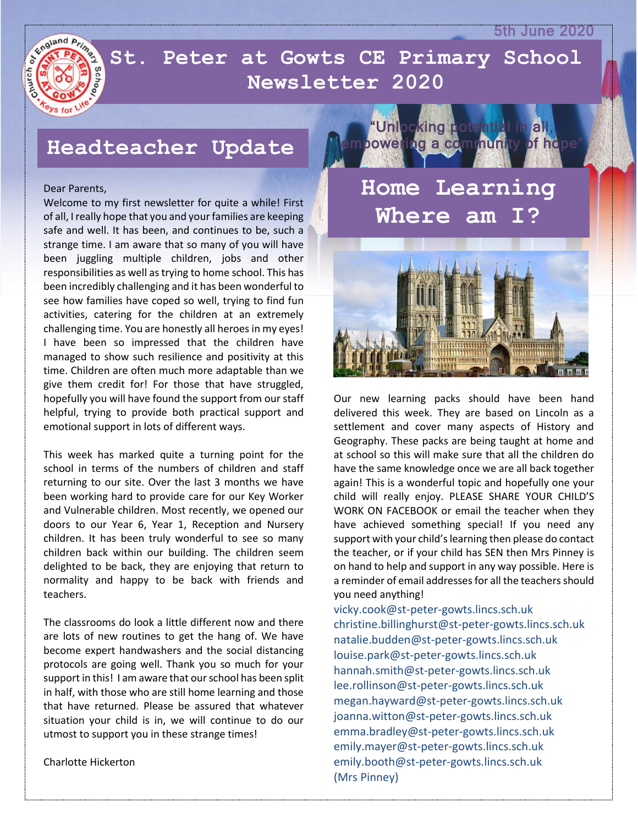5th June 2020



 **Newsletter 2020St. Peter at Gowts CE Primary School** 

## **Headteacher Update**

### Dear Parents,

Welcome to my first newsletter for quite a while! First of all, I really hope that you and your families are keeping safe and well. It has been, and continues to be, such a strange time. I am aware that so many of you will have been juggling multiple children, jobs and other responsibilities as well as trying to home school. This has been incredibly challenging and it has been wonderful to see how families have coped so well, trying to find fun activities, catering for the children at an extremely challenging time. You are honestly all heroes in my eyes! I have been so impressed that the children have managed to show such resilience and positivity at this time. Children are often much more adaptable than we give them credit for! For those that have struggled, hopefully you will have found the support from our staff helpful, trying to provide both practical support and emotional support in lots of different ways.

This week has marked quite a turning point for the school in terms of the numbers of children and staff returning to our site. Over the last 3 months we have been working hard to provide care for our Key Worker and Vulnerable children. Most recently, we opened our doors to our Year 6, Year 1, Reception and Nursery children. It has been truly wonderful to see so many children back within our building. The children seem delighted to be back, they are enjoying that return to normality and happy to be back with friends and teachers.

The classrooms do look a little different now and there are lots of new routines to get the hang of. We have become expert handwashers and the social distancing protocols are going well. Thank you so much for your support in this! I am aware that our school has been split in half, with those who are still home learning and those that have returned. Please be assured that whatever situation your child is in, we will continue to do our utmost to support you in these strange times!

Charlotte Hickerton



**Where am I?**



Our new learning packs should have been hand delivered this week. They are based on Lincoln as a settlement and cover many aspects of History and Geography. These packs are being taught at home and at school so this will make sure that all the children do have the same knowledge once we are all back together again! This is a wonderful topic and hopefully one your child will really enjoy. PLEASE SHARE YOUR CHILD'S WORK ON FACEBOOK or email the teacher when they have achieved something special! If you need any support with your child's learning then please do contact the teacher, or if your child has SEN then Mrs Pinney is on hand to help and support in any way possible. Here is a reminder of email addresses for all the teachers should you need anything!

vicky.cook@st-peter-gowts.lincs.sch.uk christine.billinghurst@st-peter-gowts.lincs.sch.uk natalie.budden@st-peter-gowts.lincs.sch.uk louise.park@st-peter-gowts.lincs.sch.uk hannah.smith@st-peter-gowts.lincs.sch.uk lee.rollinson@st-peter-gowts.lincs.sch.uk megan.hayward@st-peter-gowts.lincs.sch.uk joanna.witton@st-peter-gowts.lincs.sch.uk emma.bradley@st-peter-gowts.lincs.sch.uk emily.mayer@st-peter-gowts.lincs.sch.uk emily.booth@st-peter-gowts.lincs.sch.uk (Mrs Pinney)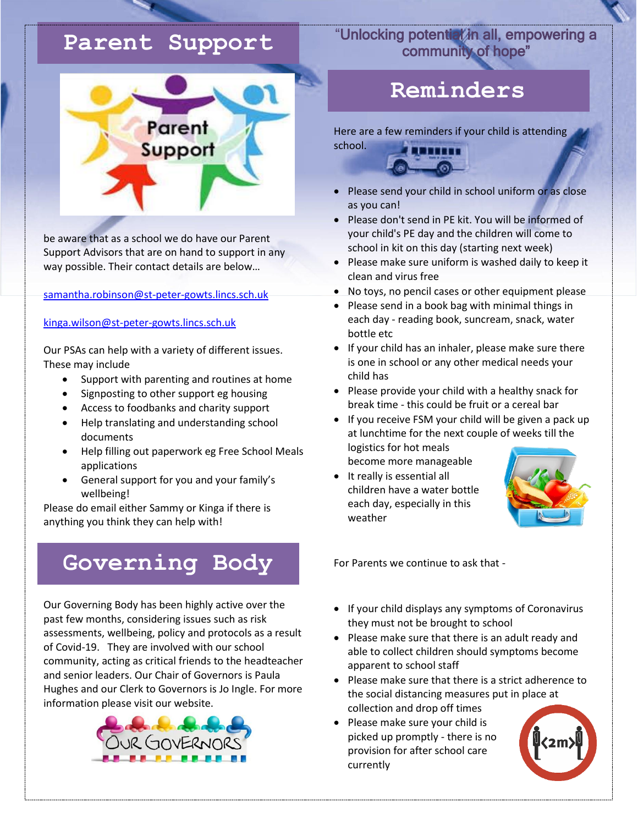## **Parent Support**



be aware that as a school we do have our Parent Support Advisors that are on hand to support in any way possible. Their contact details are below…

[samantha.robinson@st-peter-gowts.lincs.sch.uk](mailto:samantha.robinson@st-peter-gowts.lincs.sch.uk)

## [kinga.wilson@st-peter-gowts.lincs.sch.uk](mailto:kinga.wilson@st-peter-gowts.lincs.sch.uk)

Our PSAs can help with a variety of different issues. These may include

- Support with parenting and routines at home
- Signposting to other support eg housing
- Access to foodbanks and charity support
- Help translating and understanding school documents
- Help filling out paperwork eg Free School Meals applications
- General support for you and your family's wellbeing!

Please do email either Sammy or Kinga if there is anything you think they can help with!

# **Governing Body**

Our Governing Body has been highly active over the past few months, considering issues such as risk assessments, wellbeing, policy and protocols as a result of Covid-19. They are involved with our school community, acting as critical friends to the headteacher and senior leaders. Our Chair of Governors is Paula Hughes and our Clerk to Governors is Jo Ingle. For more information please visit our website.



## "Unlocking potential in all, empowering a community of hope"

## **Reminders**

Here are a few reminders if your child is attending school.



- Please send your child in school uniform or as close as you can!
- Please don't send in PE kit. You will be informed of your child's PE day and the children will come to school in kit on this day (starting next week)
- Please make sure uniform is washed daily to keep it clean and virus free
- No toys, no pencil cases or other equipment please
- Please send in a book bag with minimal things in each day - reading book, suncream, snack, water bottle etc
- If your child has an inhaler, please make sure there is one in school or any other medical needs your child has
- Please provide your child with a healthy snack for break time - this could be fruit or a cereal bar
- If you receive FSM your child will be given a pack up at lunchtime for the next couple of weeks till the logistics for hot meals become more manageable
- It really is essential all children have a water bottle each day, especially in this weather



For Parents we continue to ask that -

- If your child displays any symptoms of Coronavirus they must not be brought to school
- Please make sure that there is an adult ready and able to collect children should symptoms become apparent to school staff
- Please make sure that there is a strict adherence to the social distancing measures put in place at collection and drop off times
- Please make sure your child is picked up promptly - there is no provision for after school care currently